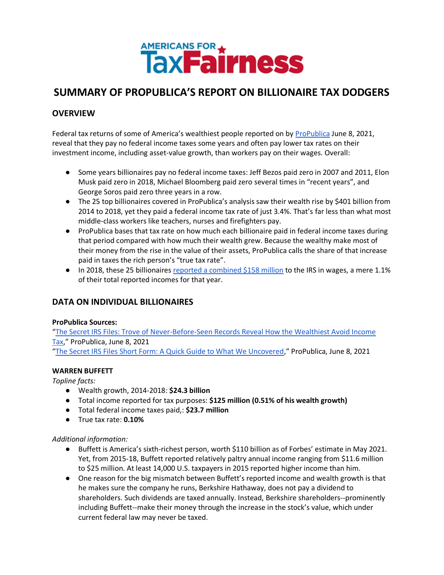

# **SUMMARY OF PROPUBLICA'S REPORT ON BILLIONAIRE TAX DODGERS**

# **OVERVIEW**

Federal tax returns of some of America's wealthiest people reported on by [ProPublica](https://www.propublica.org/article/the-secret-irs-files-trove-of-never-before-seen-records-reveal-how-the-wealthiest-avoid-income-tax) June 8, 2021, reveal that they pay no federal income taxes some years and often pay lower tax rates on their investment income, including asset-value growth, than workers pay on their wages. Overall:

- Some years billionaires pay no federal income taxes: Jeff Bezos paid zero in 2007 and 2011, Elon Musk paid zero in 2018, Michael Bloomberg paid zero several times in "recent years", and George Soros paid zero three years in a row.
- The 25 top billionaires covered in ProPublica's analysis saw their wealth rise by \$401 billion from 2014 to 2018, yet they paid a federal income tax rate of just 3.4%. That's far less than what most middle-class workers like teachers, nurses and firefighters pay.
- ProPublica bases that tax rate on how much each billionaire paid in federal income taxes during that period compared with how much their wealth grew. Because the wealthy make most of their money from the rise in the value of their assets, ProPublica calls the share of that increase paid in taxes the rich person's "true tax rate".
- In 2018, these 25 billionaire[s reported a combined \\$158 million](https://www.propublica.org/article/the-secret-irs-files-short-form-a-quick-guide-to-what-we-uncovered) to the IRS in wages, a mere 1.1% of their total reported incomes for that year.

# **DATA ON INDIVIDUAL BILLIONAIRES**

#### **ProPublica Sources:**

"[The Secret IRS Files: Trove of Never-Before-Seen Records Reveal How the Wealthiest Avoid Income](https://www.propublica.org/article/the-secret-irs-files-trove-of-never-before-seen-records-reveal-how-the-wealthiest-avoid-income-tax)  [Tax](https://www.propublica.org/article/the-secret-irs-files-trove-of-never-before-seen-records-reveal-how-the-wealthiest-avoid-income-tax)," ProPublica, June 8, 2021 "[The Secret IRS Files Short Form: A Quick Guide to What We Uncovered](https://www.propublica.org/article/the-secret-irs-files-short-form-a-quick-guide-to-what-we-uncovered)," ProPublica, June 8, 2021

# **WARREN BUFFETT**

*Topline facts:*

- Wealth growth, 2014-2018: **\$24.3 billion**
- Total income reported for tax purposes: **\$125 million (0.51% of his wealth growth)**
- Total federal income taxes paid,: **\$23.7 million**
- True tax rate: **0.10%**

# *Additional information:*

- Buffett is America's sixth-richest person, worth \$110 billion as of Forbes' estimate in May 2021. Yet, from 2015-18, Buffett reported relatively paltry annual income ranging from \$11.6 million to \$25 million. At least 14,000 U.S. taxpayers in 2015 reported higher income than him.
- One reason for the big mismatch between Buffett's reported income and wealth growth is that he makes sure the company he runs, Berkshire Hathaway, does not pay a dividend to shareholders. Such dividends are taxed annually. Instead, Berkshire shareholders--prominently including Buffett--make their money through the increase in the stock's value, which under current federal law may never be taxed.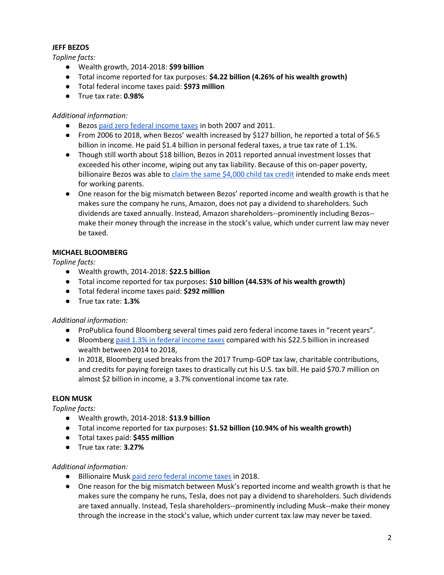#### **JEFF BEZOS**

*Topline facts:*

- Wealth growth, 2014-2018: **\$99 billion**
- Total income reported for tax purposes: **\$4.22 billion (4.26% of his wealth growth)**
- Total federal income taxes paid: **\$973 million**
- True tax rate: **0.98%**

# *Additional information:*

- Bezos [paid zero federal income taxes](https://www.propublica.org/article/the-secret-irs-files-short-form-a-quick-guide-to-what-we-uncovered) in both 2007 and 2011.
- From 2006 to 2018, when Bezos' wealth increased by \$127 billion, he reported a total of \$6.5 billion in income. He paid \$1.4 billion in personal federal taxes, a true tax rate of 1.1%.
- Though still worth about \$18 billion, Bezos in 2011 reported annual investment losses that exceeded his other income, wiping out any tax liability. Because of this on-paper poverty, billionaire Bezos was able to [claim the same \\$4,000 child tax credit](https://www.propublica.org/article/the-secret-irs-files-short-form-a-quick-guide-to-what-we-uncovered) intended to make ends meet for working parents.
- One reason for the big mismatch between Bezos' reported income and wealth growth is that he makes sure the company he runs, Amazon, does not pay a dividend to shareholders. Such dividends are taxed annually. Instead, Amazon shareholders--prominently including Bezos- make their money through the increase in the stock's value, which under current law may never be taxed.

# **MICHAEL BLOOMBERG**

*Topline facts:*

- Wealth growth, 2014-2018: **\$22.5 billion**
- Total income reported for tax purposes: **\$10 billion (44.53% of his wealth growth)**
- Total federal income taxes paid: **\$292 million**
- True tax rate: **1.3%**

# *Additional information:*

- ProPublica found Bloomberg several times paid zero federal income taxes in "recent years".
- Bloomber[g paid 1.3% in federal income taxes](https://www.propublica.org/article/the-secret-irs-files-short-form-a-quick-guide-to-what-we-uncovered) compared with his \$22.5 billion in increased wealth between 2014 to 2018,
- In 2018, Bloomberg used breaks from the 2017 Trump-GOP tax law, charitable contributions, and credits for paying foreign taxes to drastically cut his U.S. tax bill. He paid \$70.7 million on almost \$2 billion in income, a 3.7% conventional income tax rate.

# **ELON MUSK**

*Topline facts:*

- Wealth growth, 2014-2018: **\$13.9 billion**
- Total income reported for tax purposes: **\$1.52 billion (10.94% of his wealth growth)**
- Total taxes paid: **\$455 million**
- True tax rate: **3.27%**

# *Additional information:*

- Billionaire Musk [paid zero federal income taxes](https://www.propublica.org/article/the-secret-irs-files-short-form-a-quick-guide-to-what-we-uncovered) in 2018.
- One reason for the big mismatch between Musk's reported income and wealth growth is that he makes sure the company he runs, Tesla, does not pay a dividend to shareholders. Such dividends are taxed annually. Instead, Tesla shareholders--prominently including Musk--make their money through the increase in the stock's value, which under current tax law may never be taxed.